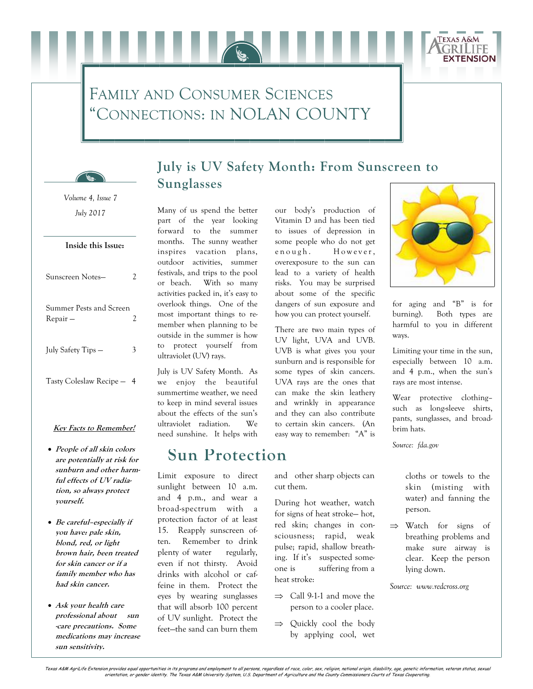# FAMILY AND CONSUMER SCIENCES "CONNECTIONS: IN NOLAN COUNTY



### **July is UV Safety Month: From Sunscreen to Sunglasses**

*July 2017 Volume 4, Issue 7* 

### **Inside this Issue:**

| Sunscreen Notes-                    |  |
|-------------------------------------|--|
| Summer Pests and Screen<br>Repair – |  |
| July Safety Tips —                  |  |
| Tasty Coleslaw Recipe -             |  |

#### **Key Facts to Remember!**

- **People of all skin colors are potentially at risk for sunburn and other harmful effects of UV radiation, so always protect yourself.**
- **Be careful–especially if you have: pale skin, blond, red, or light brown hair, been treated for skin cancer or if a family member who has had skin cancer.**
- **Ask your health care professional about sun -care precautions. Some medications may increase sun sensitivity.**

Many of us spend the better part of the year looking forward to the summer months. The sunny weather inspires vacation plans, outdoor activities, summer festivals, and trips to the pool or beach. With so many activities packed in, it's easy to overlook things. One of the most important things to remember when planning to be outside in the summer is how to protect yourself from ultraviolet (UV) rays.

July is UV Safety Month. As we enjoy the beautiful summertime weather, we need to keep in mind several issues about the effects of the sun's ultraviolet radiation. We need sunshine. It helps with

## **Sun Protection**

Limit exposure to direct sunlight between 10 a.m. and 4 p.m., and wear a broad-spectrum with a protection factor of at least 15. Reapply sunscreen often. Remember to drink plenty of water regularly, even if not thirsty. Avoid drinks with alcohol or caffeine in them. Protect the eyes by wearing sunglasses that will absorb 100 percent of UV sunlight. Protect the feet—the sand can burn them our body's production of Vitamin D and has been tied to issues of depression in some people who do not get e nough. However, overexposure to the sun can lead to a variety of health risks. You may be surprised about some of the specific dangers of sun exposure and how you can protect yourself.

There are two main types of UV light, UVA and UVB. UVB is what gives you your sunburn and is responsible for some types of skin cancers. UVA rays are the ones that can make the skin leathery and wrinkly in appearance and they can also contribute to certain skin cancers. (An easy way to remember: "A" is

and other sharp objects can cut them.

During hot weather, watch for signs of heat stroke— hot, red skin; changes in consciousness; rapid, weak pulse; rapid, shallow breathing. If it's suspected someone is suffering from a heat stroke:

- $\implies$  Call 9-1-1 and move the person to a cooler place.
- $\Rightarrow$  Quickly cool the body by applying cool, wet



**TEXAS A&M** 

**EXTENSION** 

for aging and "B" is for burning). Both types are harmful to you in different ways.

Limiting your time in the sun, especially between 10 a.m. and 4 p.m., when the sun's rays are most intense.

Wear protective clothing– such as long-sleeve shirts, pants, sunglasses, and broadbrim hats.

*Source: fda.gov* 

cloths or towels to the skin (misting with water) and fanning the person.

 $\Rightarrow$  Watch for signs of breathing problems and make sure airway is clear. Keep the person lying down.

*Source: www.redcross.org*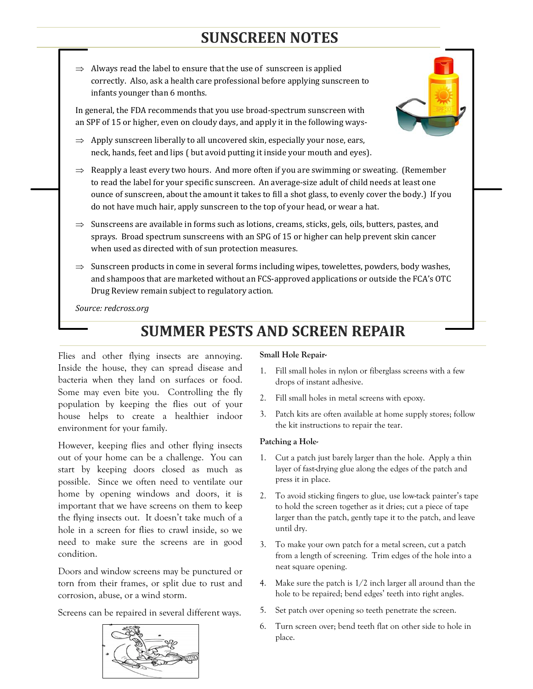## **SUNSCREEN NOTES**

 $\Rightarrow$  Always read the label to ensure that the use of sunscreen is applied correctly. Also, ask a health care professional before applying sunscreen to infants younger than 6 months.

In general, the FDA recommends that you use broad-spectrum sunscreen with an SPF of 15 or higher, even on cloudy days, and apply it in the following ways-

- $\Rightarrow$  Apply sunscreen liberally to all uncovered skin, especially your nose, ears, neck, hands, feet and lips ( but avoid putting it inside your mouth and eyes).
- $\Rightarrow$  Reapply a least every two hours. And more often if you are swimming or sweating. (Remember to read the label for your specific sunscreen. An average-size adult of child needs at least one ounce of sunscreen, about the amount it takes to fill a shot glass, to evenly cover the body.) If you do not have much hair, apply sunscreen to the top of your head, or wear a hat.
- $\Rightarrow$  Sunscreens are available in forms such as lotions, creams, sticks, gels, oils, butters, pastes, and sprays. Broad spectrum sunscreens with an SPG of 15 or higher can help prevent skin cancer when used as directed with of sun protection measures.
- $\Rightarrow$  Sunscreen products in come in several forms including wipes, towelettes, powders, body washes, and shampoos that are marketed without an FCS-approved applications or outside the FCA's OTC Drug Review remain subject to regulatory action.

*Source: redcross.org*

## **SUMMER PESTS AND SCREEN REPAIR**

Flies and other flying insects are annoying. Inside the house, they can spread disease and bacteria when they land on surfaces or food. Some may even bite you. Controlling the fly population by keeping the flies out of your house helps to create a healthier indoor environment for your family.

However, keeping flies and other flying insects out of your home can be a challenge. You can start by keeping doors closed as much as possible. Since we often need to ventilate our home by opening windows and doors, it is important that we have screens on them to keep the flying insects out. It doesn't take much of a hole in a screen for flies to crawl inside, so we need to make sure the screens are in good condition.

Doors and window screens may be punctured or torn from their frames, or split due to rust and corrosion, abuse, or a wind storm.

Screens can be repaired in several different ways.



#### **Small Hole Repair-**

- 1. Fill small holes in nylon or fiberglass screens with a few drops of instant adhesive.
- 2. Fill small holes in metal screens with epoxy.
- 3. Patch kits are often available at home supply stores; follow the kit instructions to repair the tear.

#### **Patching a Hole-**

- 1. Cut a patch just barely larger than the hole. Apply a thin layer of fast-drying glue along the edges of the patch and press it in place.
- 2. To avoid sticking fingers to glue, use low-tack painter's tape to hold the screen together as it dries; cut a piece of tape larger than the patch, gently tape it to the patch, and leave until dry.
- 3. To make your own patch for a metal screen, cut a patch from a length of screening. Trim edges of the hole into a neat square opening.
- 4. Make sure the patch is 1/2 inch larger all around than the hole to be repaired; bend edges' teeth into right angles.
- 5. Set patch over opening so teeth penetrate the screen.
- 6. Turn screen over; bend teeth flat on other side to hole in place.

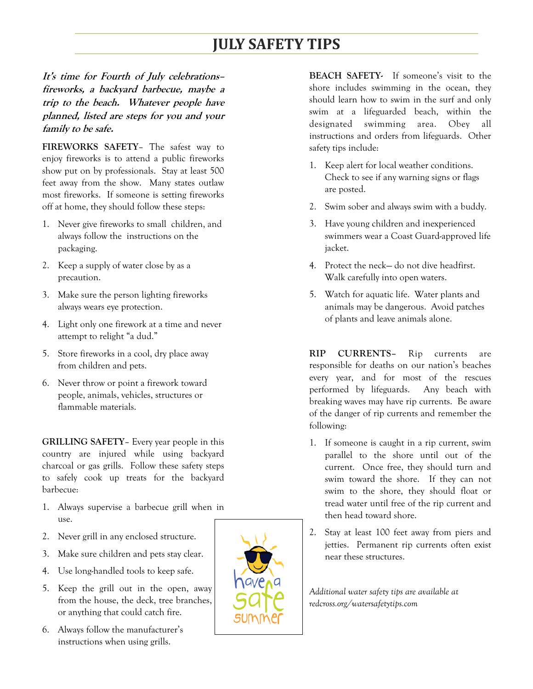# **JULY SAFETY TIPS**

**It's time for Fourth of July celebrations– fireworks, a backyard barbecue, maybe a trip to the beach. Whatever people have planned, listed are steps for you and your family to be safe.** 

**FIREWORKS SAFETY**– The safest way to enjoy fireworks is to attend a public fireworks show put on by professionals. Stay at least 500 feet away from the show. Many states outlaw most fireworks. If someone is setting fireworks off at home, they should follow these steps:

- 1. Never give fireworks to small children, and always follow the instructions on the packaging.
- 2. Keep a supply of water close by as a precaution.
- 3. Make sure the person lighting fireworks always wears eye protection.
- 4. Light only one firework at a time and never attempt to relight "a dud."
- 5. Store fireworks in a cool, dry place away from children and pets.
- 6. Never throw or point a firework toward people, animals, vehicles, structures or flammable materials.

**GRILLING SAFETY**– Every year people in this country are injured while using backyard charcoal or gas grills. Follow these safety steps to safely cook up treats for the backyard barbecue:

- 1. Always supervise a barbecue grill when in use.
- 2. Never grill in any enclosed structure.
- 3. Make sure children and pets stay clear.
- 4. Use long-handled tools to keep safe.
- 5. Keep the grill out in the open, away from the house, the deck, tree branches, or anything that could catch fire.
- 6. Always follow the manufacturer's instructions when using grills.



**BEACH SAFETY-** If someone's visit to the shore includes swimming in the ocean, they should learn how to swim in the surf and only swim at a lifeguarded beach, within the designated swimming area. Obey all instructions and orders from lifeguards. Other safety tips include:

- 1. Keep alert for local weather conditions. Check to see if any warning signs or flags are posted.
- 2. Swim sober and always swim with a buddy.
- 3. Have young children and inexperienced swimmers wear a Coast Guard-approved life jacket.
- 4. Protect the neck— do not dive headfirst. Walk carefully into open waters.
- 5. Watch for aquatic life. Water plants and animals may be dangerous. Avoid patches of plants and leave animals alone.

**RIP CURRENTS–** Rip currents are responsible for deaths on our nation's beaches every year, and for most of the rescues performed by lifeguards. Any beach with breaking waves may have rip currents. Be aware of the danger of rip currents and remember the following:

- 1. If someone is caught in a rip current, swim parallel to the shore until out of the current. Once free, they should turn and swim toward the shore. If they can not swim to the shore, they should float or tread water until free of the rip current and then head toward shore.
- 2. Stay at least 100 feet away from piers and jetties. Permanent rip currents often exist near these structures.

*Additional water safety tips are available at redcross.org/watersafetytips.com*